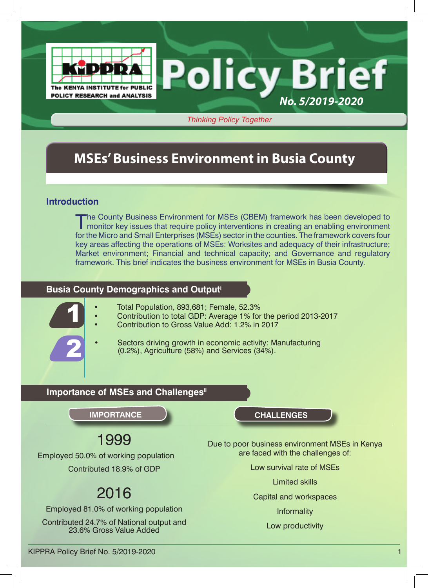

*Thinking Policy Together*

## **MSEs' Business Environment in Busia County**

#### **Introduction**

The County Business Environment for MSEs (CBEM) framework has been developed to monitor key issues that require policy interventions in creating an enabling environment for the Micro and Small Enterprises (MSEs) sector in the counties. The framework covers four key areas affecting the operations of MSEs: Worksites and adequacy of their infrastructure; Market environment; Financial and technical capacity; and Governance and regulatory framework. This brief indicates the business environment for MSEs in Busia County.

#### **Busia County Demographics and Outputi**

- Total Population, 893,681; Female, 52.3%
- Contribution to total GDP: Average 1% for the period 2013-2017
- Contribution to Gross Value Add: 1.2% in 2017



1

Sectors driving growth in economic activity: Manufacturing (0.2%), Agriculture (58%) and Services (34%).

### **Importance of MSEs and Challengesii**

## 1999

Employed 50.0% of working population Contributed 18.9% of GDP

# 2016

Employed 81.0% of working population

Contributed 24.7% of National output and 23.6% Gross Value Added

**IMPORTANCE CHALLENGES**

Due to poor business environment MSEs in Kenya are faced with the challenges of:

*No. 5/2019-2020*

Low survival rate of MSEs

Limited skills

Capital and workspaces

Informality

Low productivity

KIPPRA Policy Brief No. 5/2019-2020 1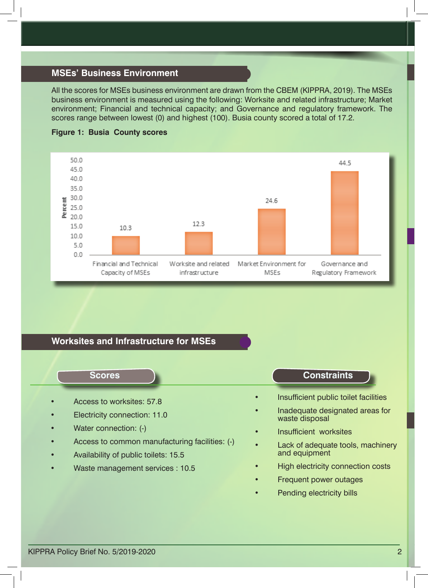#### **MSEs' Business Environment**

All the scores for MSEs business environment are drawn from the CBEM (KIPPRA, 2019). The MSEs business environment is measured using the following: Worksite and related infrastructure; Market environment; Financial and technical capacity; and Governance and regulatory framework. The scores range between lowest (0) and highest (100). Busia county scored a total of 17.2.



#### **Figure 1: Busia County scores**

#### **Worksites and Infrastructure for MSEs**

- Access to worksites: 57.8
- Electricity connection: 11.0
- Water connection: (-)
- Access to common manufacturing facilities: (-)
- Availability of public toilets: 15.5
- Waste management services : 10.5

#### **Scores Constraints**

- Insufficient public toilet facilities
- Inadequate designated areas for waste disposal
- Insufficient worksites
- Lack of adequate tools, machinery and equipment
- High electricity connection costs
- Frequent power outages
- Pending electricity bills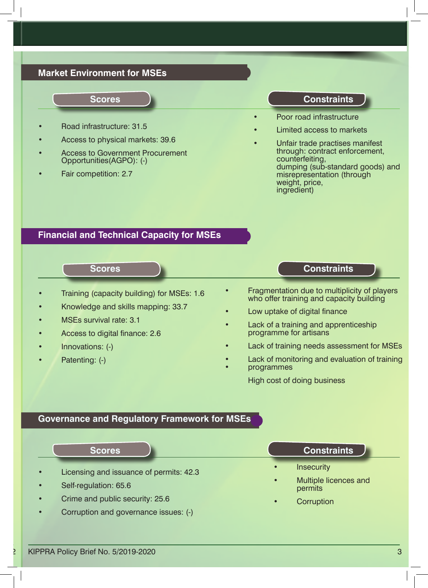#### **Market Environment for MSEs**

#### **Scores**

- Road infrastructure: 31.5
- Access to physical markets: 39.6
- Access to Government Procurement Opportunities(AGPO): (-)
- Fair competition: 2.7

#### **Constraints**

- Poor road infrastructure
- Limited access to markets
- Unfair trade practises manifest through: contract enforcement, counterfeiting, dumping (sub-standard goods) and misrepresentation (through weight, price, ingredient)

#### **Financial and Technical Capacity for MSEs**

### **Scores**

- Training (capacity building) for MSEs: 1.6
- Knowledge and skills mapping: 33.7
- MSEs survival rate: 3.1
- Access to digital finance: 2.6
- Innovations: (-)
- Patenting: (-)

**Constraints**

- Fragmentation due to multiplicity of players who offer training and capacity building
- Low uptake of digital finance
- Lack of a training and apprenticeship<br>programme for artisans
- Lack of training needs assessment for MSEs
- Lack of monitoring and evaluation of training
- programmes

High cost of doing business

#### **Governance and Regulatory Framework for MSEs**

|           | <b>Scores</b>                           | <b>Constraints</b>                            |
|-----------|-----------------------------------------|-----------------------------------------------|
| $\bullet$ | Licensing and issuance of permits: 42.3 | <b>Insecurity</b><br>$\bullet$                |
|           | Self-regulation: 65.6                   | Multiple licences and<br>$\bullet$<br>permits |
| $\bullet$ | Crime and public security: 25.6         | Corruption<br>$\bullet$                       |
|           | Corruption and governance issues: (-)   |                                               |